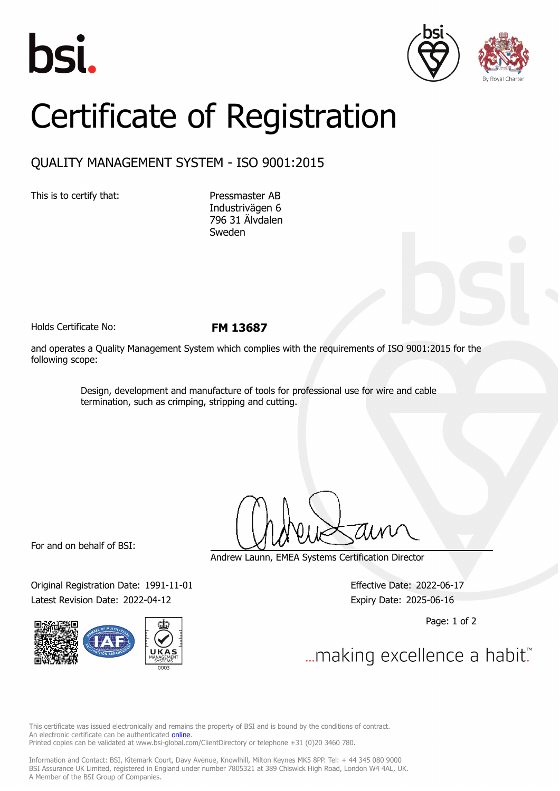





## Certificate of Registration

## QUALITY MANAGEMENT SYSTEM - ISO 9001:2015

This is to certify that: Pressmaster AB

Industrivägen 6 796 31 Älvdalen Sweden

Holds Certificate No: **FM 13687**

and operates a Quality Management System which complies with the requirements of ISO 9001:2015 for the following scope:

> Design, development and manufacture of tools for professional use for wire and cable termination, such as crimping, stripping and cutting.

For and on behalf of BSI:

Original Registration Date: 1991-11-01 Effective Date: 2022-06-17 Latest Revision Date: 2022-04-12 Expiry Date: 2025-06-16



Andrew Launn, EMEA Systems Certification Director

Page: 1 of 2

... making excellence a habit."

This certificate was issued electronically and remains the property of BSI and is bound by the conditions of contract. An electronic certificate can be authenticated **[online](https://pgplus.bsigroup.com/CertificateValidation/CertificateValidator.aspx?CertificateNumber=FM+13687&ReIssueDate=12%2f04%2f2022&Template=cemea_en)**. Printed copies can be validated at www.bsi-global.com/ClientDirectory or telephone +31 (0)20 3460 780.

Information and Contact: BSI, Kitemark Court, Davy Avenue, Knowlhill, Milton Keynes MK5 8PP. Tel: + 44 345 080 9000 BSI Assurance UK Limited, registered in England under number 7805321 at 389 Chiswick High Road, London W4 4AL, UK. A Member of the BSI Group of Companies.